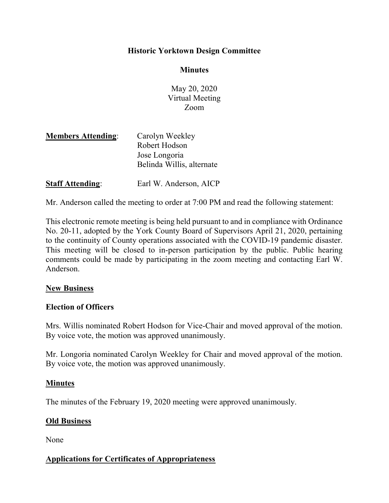### Historic Yorktown Design Committee

#### **Minutes**

May 20, 2020 Virtual Meeting Zoom

| <b>Members Attending:</b> | Carolyn Weekley           |
|---------------------------|---------------------------|
|                           | Robert Hodson             |
|                           | Jose Longoria             |
|                           | Belinda Willis, alternate |
| <b>Staff Attending:</b>   | Earl W. Anderson, AICP    |

Mr. Anderson called the meeting to order at 7:00 PM and read the following statement:

This electronic remote meeting is being held pursuant to and in compliance with Ordinance No. 20-11, adopted by the York County Board of Supervisors April 21, 2020, pertaining to the continuity of County operations associated with the COVID-19 pandemic disaster. This meeting will be closed to in-person participation by the public. Public hearing comments could be made by participating in the zoom meeting and contacting Earl W. Anderson.

#### New Business

#### Election of Officers

Mrs. Willis nominated Robert Hodson for Vice-Chair and moved approval of the motion. By voice vote, the motion was approved unanimously.

Mr. Longoria nominated Carolyn Weekley for Chair and moved approval of the motion. By voice vote, the motion was approved unanimously.

### Minutes

The minutes of the February 19, 2020 meeting were approved unanimously.

### Old Business

None

### Applications for Certificates of Appropriateness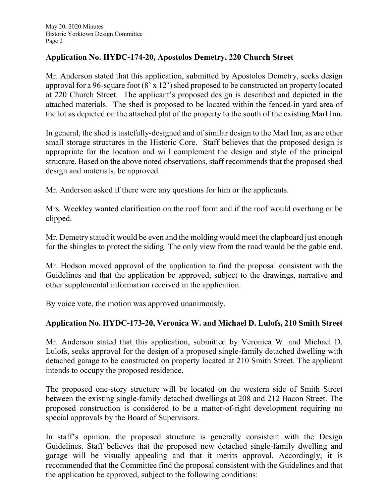## Application No. HYDC-174-20, Apostolos Demetry, 220 Church Street

Mr. Anderson stated that this application, submitted by Apostolos Demetry, seeks design approval for a 96-square foot (8' x 12') shed proposed to be constructed on property located at 220 Church Street. The applicant's proposed design is described and depicted in the attached materials. The shed is proposed to be located within the fenced-in yard area of the lot as depicted on the attached plat of the property to the south of the existing Marl Inn.

In general, the shed is tastefully-designed and of similar design to the Marl Inn, as are other small storage structures in the Historic Core. Staff believes that the proposed design is appropriate for the location and will complement the design and style of the principal structure. Based on the above noted observations, staff recommends that the proposed shed design and materials, be approved.

Mr. Anderson asked if there were any questions for him or the applicants.

Mrs. Weekley wanted clarification on the roof form and if the roof would overhang or be clipped.

Mr. Demetry stated it would be even and the molding would meet the clapboard just enough for the shingles to protect the siding. The only view from the road would be the gable end.

Mr. Hodson moved approval of the application to find the proposal consistent with the Guidelines and that the application be approved, subject to the drawings, narrative and other supplemental information received in the application.

By voice vote, the motion was approved unanimously.

# Application No. HYDC-173-20, Veronica W. and Michael D. Lulofs, 210 Smith Street

Mr. Anderson stated that this application, submitted by Veronica W. and Michael D. Lulofs, seeks approval for the design of a proposed single-family detached dwelling with detached garage to be constructed on property located at 210 Smith Street. The applicant intends to occupy the proposed residence.

The proposed one-story structure will be located on the western side of Smith Street between the existing single-family detached dwellings at 208 and 212 Bacon Street. The proposed construction is considered to be a matter-of-right development requiring no special approvals by the Board of Supervisors.

In staff's opinion, the proposed structure is generally consistent with the Design Guidelines. Staff believes that the proposed new detached single-family dwelling and garage will be visually appealing and that it merits approval. Accordingly, it is recommended that the Committee find the proposal consistent with the Guidelines and that the application be approved, subject to the following conditions: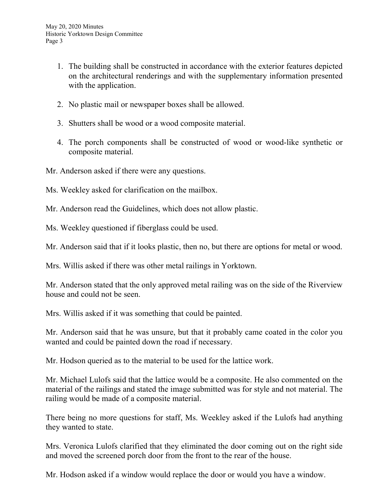- 1. The building shall be constructed in accordance with the exterior features depicted on the architectural renderings and with the supplementary information presented with the application.
- 2. No plastic mail or newspaper boxes shall be allowed.
- 3. Shutters shall be wood or a wood composite material.
- 4. The porch components shall be constructed of wood or wood-like synthetic or composite material.

Mr. Anderson asked if there were any questions.

Ms. Weekley asked for clarification on the mailbox.

Mr. Anderson read the Guidelines, which does not allow plastic.

Ms. Weekley questioned if fiberglass could be used.

Mr. Anderson said that if it looks plastic, then no, but there are options for metal or wood.

Mrs. Willis asked if there was other metal railings in Yorktown.

Mr. Anderson stated that the only approved metal railing was on the side of the Riverview house and could not be seen.

Mrs. Willis asked if it was something that could be painted.

Mr. Anderson said that he was unsure, but that it probably came coated in the color you wanted and could be painted down the road if necessary.

Mr. Hodson queried as to the material to be used for the lattice work.

Mr. Michael Lulofs said that the lattice would be a composite. He also commented on the material of the railings and stated the image submitted was for style and not material. The railing would be made of a composite material.

There being no more questions for staff, Ms. Weekley asked if the Lulofs had anything they wanted to state.

Mrs. Veronica Lulofs clarified that they eliminated the door coming out on the right side and moved the screened porch door from the front to the rear of the house.

Mr. Hodson asked if a window would replace the door or would you have a window.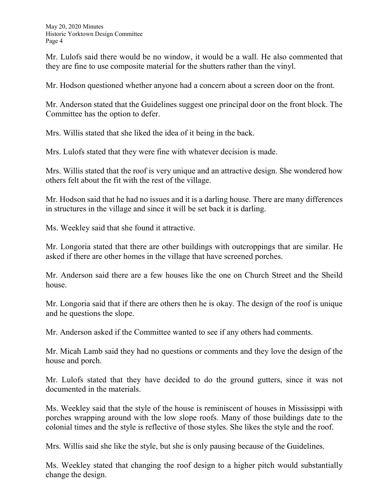Mr. Lulofs said there would be no window, it would be a wall. He also commented that they are fine to use composite material for the shutters rather than the vinyl.

Mr. Hodson questioned whether anyone had a concern about a screen door on the front.

Mr. Anderson stated that the Guidelines suggest one principal door on the front block. The Committee has the option to defer.

Mrs. Willis stated that she liked the idea of it being in the back.

Mrs. Lulofs stated that they were fine with whatever decision is made.

Mrs. Willis stated that the roof is very unique and an attractive design. She wondered how others felt about the fit with the rest of the village.

Mr. Hodson said that he had no issues and it is a darling house. There are many differences in structures in the village and since it will be set back it is darling.

Ms. Weekley said that she found it attractive.

Mr. Longoria stated that there are other buildings with outcroppings that are similar. He asked if there are other homes in the village that have screened porches.

Mr. Anderson said there are a few houses like the one on Church Street and the Sheild house.

Mr. Longoria said that if there are others then he is okay. The design of the roof is unique and he questions the slope.

Mr. Anderson asked if the Committee wanted to see if any others had comments.

Mr. Micah Lamb said they had no questions or comments and they love the design of the house and porch.

Mr. Lulofs stated that they have decided to do the ground gutters, since it was not documented in the materials.

Ms. Weekley said that the style of the house is reminiscent of houses in Mississippi with porches wrapping around with the low slope roofs. Many of those buildings date to the colonial times and the style is reflective of those styles. She likes the style and the roof.

Mrs. Willis said she like the style, but she is only pausing because of the Guidelines.

Ms. Weekley stated that changing the roof design to a higher pitch would substantially change the design.